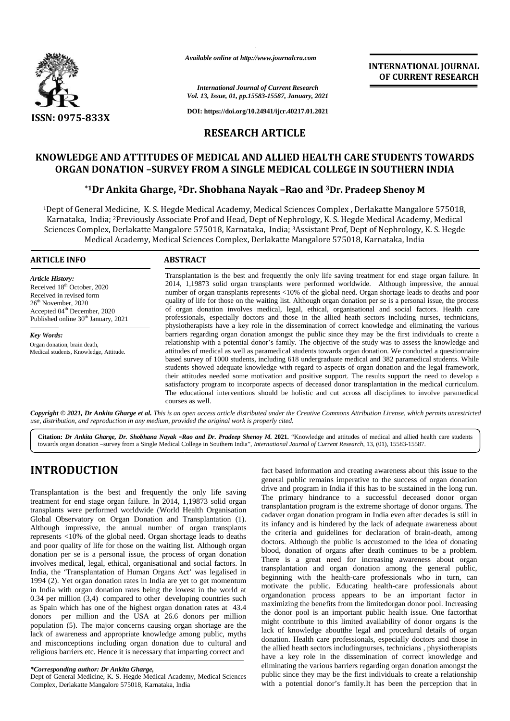

*Available online at http://www.journalcra.com*

*International Journal of Current Research Vol. 13, Issue, 01, pp.15583-15587, January, 2021*

**DOI: https://doi.org/10.24941/ijcr.40217.01.2021**

#### **RESEARCH ARTICLE**

# **KNOWLEDGE AND ATTITUDES OF MEDICAL AND ALLIED HEALTH CARE STUDENTS TOWARDS ORGAN DONATION –SURVEY FROM A SINGLE MEDICAL COLLEGE IN SOUTHERN INDIA** E AND ATTITUDES OF MEDICAL AND ALLIED HEALTH CARE STUDENTS TOWARDS<br>DONATION -SURVEY FROM A SINGLE MEDICAL COLLEGE IN SOUTHERN INDIA<br>Dr Ankita Gharge, <sup>2</sup>Dr. Shobhana Nayak -Rao and <sup>3</sup>Dr. Pradeep Shenoy M

#### **\*1Dr Ankita Gharge, <sup>2</sup>Dr. Shobhana Nayak –Rao and <sup>3</sup>Dr. Pradeep Shenoy M**

<sup>1</sup>Dept of General Medicine, K. S. Hegde Medical Academy, Medical Sciences Complex , Derlakatte Mangalore 575018, Karnataka, India; <sup>2</sup>Previously Associate Prof and Head, Dept of Nephrology, K. S. Hegde Medical Academy, Medical <sup>1</sup>Dept of General Medicine, K. S. Hegde Medical Academy, Medical Sciences Complex , Derlakatte Mangalore 575018,<br>Karnataka, India; <sup>2</sup>Previously Associate Prof and Head, Dept of Nephrology, K. S. Hegde Medical Academy, Medical Academy, Medical Sciences Complex, Derlakatte Mangalore 575018, Karnataka, India

#### **ARTICLE INFO ABSTRACT ARTICLE ABSTRACT**

*Article History:* Received 18<sup>th</sup> October, 2020 Received in revised form 26<sup>th</sup> November, 2020 Accepted 04<sup>th</sup> December, 2020 Published online 30<sup>th</sup> January, 2021

*Key Words:* Organ donation, brain death, Medical students, Knowledge, Attitude.

Transplantation is the best and frequently the only life saving treatment for end stage organ failure. In 2014, 1,19873 solid organ transplants were performed worldwide. Although impressive, the annual number of organ transplants represents <10% of the global need. Organ shortage leads to deaths and poor quality of life for those on the waiting list. Although organ donation per se is a personal issue, the process of organ donation involves medical, legal, ethical, organisational and social factors. Health care professionals, especially doctors and those in the allied heath sectors including nurses, technicians, physiotherapists have a key role in the dissemination of correct knowledge and eliminating the various barriers regarding organ donation amongst the public since they may be the first individuals to create a relationship with a potential donor's family. The objective of the study was to assess the knowledge and attitudes of medical as well as paramedical students towards organ donation. We conducted a questionnaire based survey of 1000 students, including 618 undergraduate medical and 382 paramedical students. While students showed adequate knowledge with regard to aspects of organ donation and the legal framework, their attitudes needed some motivation and positive support. The results support the need to develop a satisfactory program to incorporate aspects of deceased donor transplantation in the medical curriculum. The educational interventions should be holistic and cut across all disciplines to involve paramedical courses as well. Transplantation is the best and frequently the only life saving treatment for end stage organ failure. In 2014, 1,19873 solid organ transplants were performed worldwide. Although impressive, the annual number of organ tran attitudes of medical as well as paramedical students towards organ donation. We conducted a questionnaire based survey of 1000 students, including 618 undergraduate medical and 382 paramedical students. While students show Armindel online on the biography commutern.com<br>
1971 FRANCISE ATTENATION (FOR ASSESSIS ASSES), America, 1972<br>
1973-1933 FRANCISE AND ATTITUDES OF MEDICAL AND ALLIED HEALTH CARE STUDENT<br>
1975-1933 KRN: (1975-833X<br>
1975-1933

**INTERNATIONAL JOURNAL OF CURRENT RESEARCH**

**Copyright © 2021, Dr Ankita Gharge et al.** This is an open access article distributed under the Creative Commons Attribution License, which permits unrestricted<br>use, distribution, and reproduction in any medium, provided *use, distribution, and reproduction in any medium, provided the original work is properly cited.*

**Citation:** Dr Ankita Gharge, Dr. Shobhana Nayak -Rao and Dr. Pradeep Shenoy M. 2021. "Knowledge and attitudes of medical and allied health care students towards organ donation –survey from a Single Medical College in Southern India", *International Journal of Current Research*, 13, (01), 15583-15587.

#### **INTRODUCTION INTRODUCTION**

Transplantation is the best and frequently the only life saving treatment for end stage organ failure. In 2014, 1,19873 solid organ transplants were performed worldwide (World Health Organisation Global Observatory on Organ Donation and Transplantation (1). Although impressive, the annual number of organ transplants represents <10% of the global need. Organ shortage leads to deaths and poor quality of life for those on the waiting list. Although organ  $\frac{1}{11}$ donation per se is a personal issue, the process of organ donation involves medical, legal, ethical, organisational and social factors. In  $\frac{1}{1}$ India, the 'Transplantation of Human Organs Act' was legalised in 1994 (2). Yet organ donation rates in India are yet to get momentum in India with organ donation rates being the lowest in the world at  $0.34$  per million  $(3,4)$  compared to other developing countries such as Spain which has one of the highest organ donation rates at 43.4 donors per million and the USA at 26.6 donors per million population (5). The major concerns causing organ shortage are the  $\frac{111}{11}$ lack of awareness and appropriate knowledge among public, myths and misconceptions including organ donation due to cultural and religious barriers etc. Hence it is necessary that imparting correct and  $\frac{u}{1}$ Transplantation is the best and frequently the only life saving<br>treatment for end stage organ failure. In 2014, 1,19873 solid organ<br>transplants were performed worldwide (World Health Organisation<br>Global Observatory on Org represents <10% of the global need. Organ shortage leads to deaths<br>and poor quality of life for those on the waiting list. Although organ donation per se is a personal issue, the process of organ donation 1994 (2). Yet organ donation rates in India are yet to get momentum<br>in India with organ donation rates being the lowest in the world at<br>0.34 per million (3,4) compared to other developing countries such<br>as Spain which has donors per million and the USA at 26.6 donors per million<br>population (5). The major concerns causing organ shortage are the<br>lack of awareness and appropriate knowledge among public, myths<br>and misconceptions including organ t and frequently the only life saving<br>an failure. In 2014, 1,19873 solid organ<br>worldwide (World Health Organisation<br>gan Donation and Transplantation (1).<br>annual number of organ transplants<br>bal need. Organ shortage leads to

*\*Corresponding author: Dr Ankita Gharge, \*Corresponding* 

Dept of General Medicine, K. S. Hegde Medical Academy, Medical Sciences <sup>P</sup> Complex, Derlakatte Mangalore 575018, Karnataka, India

fact based information and creating awareness about this issue to the general public remains imperative to the success of organ donation drive and program in India if this has to be sustained in the long run. The primary hindrance to a successful deceased donor organ transplantation program is the extreme shortage of donor organs. The cadaver organ donation program in India even after decades is still in its infancy and is hindered by the lack of adequate awareness about the criteria and guidelines for declaration of brain-death, among doctors. Although the public is accustomed to the idea of donating blood, donation of organs after death continues to be a problem. There is a great need for increasing awareness about organ transplantation and organ donation among the general public, beginning with the health-care professionals who in turn, can motivate the public. Educating health-care professionals about organdonation process appears to be an important factor in maximizing the benefits from the limitedorgan donor pool. Increasing the donor pool is an important public health issue. One factorthat might contribute to this limited availability of donor organs is the lack of knowledge aboutthe legal and procedural details of organ donation. Health care professionals, especially doctors and those in the allied heath sectors includingnurses, technicians , physiotherapists have a key role in the dissemination of correct knowledge and eliminating the various barriers regarding organ donation amongst the public since they may be the first individuals to create a relationship with a potential donor's family.It has been the perception that in **INTRODUCTION**<br>
from the success of organ donation<br>
from the success of organ donation<br>
Transplantation is the best small divergend in the succession donation<br>
carrelation of be rates in the primary hindrance to a success ria and guidelines for declaration of brain-death, among<br>Although the public is accustomed to the idea of donating<br>onation of organs after death continues to be a problem.<br>s a great need for increasing awareness about orga contribute to this limited availability of donor organs is<br>f knowledge aboutthe legal and procedural details of org<br>on. Health care professionals, especially doctors and those<br>ed heath sectors includingnurses, technicians, **PORTERVINE INTERFERIMENT RESERVENCES AREA CONTROLL CONTROLL CONTROLL CONTROLL CONTROLL CONTROLL CONTROLL CONTROLL CONTROLL CONTROLL CONTROLL CONTROLL CONTROLL CONTROLL CONTROLL CONTROLL CONTROLL CONTROLL CONTROLL CONTROL** of donation**https://doi.org/10.24941/ijcr.40217.01.2021**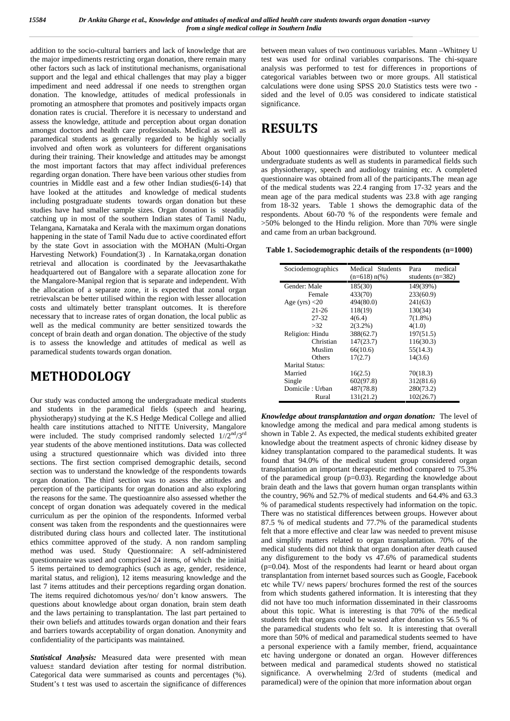addition to the socio-cultural barriers and lack of knowledge that are the major impediments restricting organ donation, there remain many other factors such as lack of institutional mechanisms, organisational support and the legal and ethical challenges that may play a bigger impediment and need addressal if one needs to strengthen organ donation. The knowledge, attitudes of medical professionals in promoting an atmosphere that promotes and positively impacts organ donation rates is crucial. Therefore it is necessary to understand and assess the knowledge, attitude and perception about organ donation amongst doctors and health care professionals. Medical as well as paramedical students as generally regarded to be highly socially involved and often work as volunteers for different organisations during their training. Their knowledge and attitudes may be amongst the most important factors that may affect individual preferences regarding organ donation. There have been various other studies from countries in Middle east and a few other Indian studies(6-14) that have looked at the attitudes and knowledge of medical students including postgraduate students towards organ donation but these studies have had smaller sample sizes. Organ donation is steadily catching up in most of the southern Indian states of Tamil Nadu, Telangana, Karnataka and Kerala with the maximum organ donations happening in the state of Tamil Nadu due to active coordinated effort by the state Govt in association with the MOHAN (Multi-Organ Harvesting Network) Foundation(3) . In Karnataka,organ donation retrieval and allocation is coordinated by the Jeevasarthakathe headquartered out of Bangalore with a separate allocation zone for the Mangalore-Manipal region that is separate and independent. With the allocation of a separate zone, it is expected that zonal organ retrievalscan be better utilised within the region with lesser allocation costs and ultimately better transplant outcomes. It is therefore necessary that to increase rates of organ donation, the local public as well as the medical community are better sensitized towards the concept of brain death and organ donation. The objective of the study is to assess the knowledge and attitudes of medical as well as paramedical students towards organ donation.

# **METHODOLOGY**

Our study was conducted among the undergraduate medical students and students in the paramedical fields (speech and hearing, physiotherapy) studying at the K.S Hedge Medical College and allied health care institutions attached to NITTE University, Mangalore were included. The study comprised randomly selected  $1//2<sup>nd</sup>/3<sup>rd</sup>$ year students of the above mentioned institutions. Data was collected using a structured questionnaire which was divided into three sections. The first section comprised demographic details, second section was to understand the knowledge of the respondents towards organ donation. The third section was to assess the attitudes and perception of the participants for organ donation and also exploring the reasons for the same. The questioannire also assessed whether the concept of organ donation was adequately covered in the medical curriculum as per the opinion of the respondents. Informed verbal consent was taken from the respondents and the questionnaires were distributed during class hours and collected later. The institutional ethics committee approved of the study. A non random sampling method was used. Study Questionnaire: A self-administered questionnaire was used and comprised 24 items, of which the initial 5 items pertained to demographics (such as age, gender, residence, marital status, and religion), 12 items measuring knowledge and the last 7 items attitudes and their perceptions regarding organ donation. The items required dichotomous yes/no/ don't know answers. The questions about knowledge about organ donation, brain stem death and the laws pertaining to transplantation. The last part pertained to their own beliefs and attitudes towards organ donation and their fears and barriers towards acceptability of organ donation. Anonymity and confidentiality of the participants was maintained.

*Statistical Analysis:* Measured data were presented with mean values± standard deviation after testing for normal distribution. Categorical data were summarised as counts and percentages (%). Student's t test was used to ascertain the significance of differences

between mean values of two continuous variables. Mann –Whitney U test was used for ordinal variables comparisons. The chi-square analysis was performed to test for differences in proportions of categorical variables between two or more groups. All statistical calculations were done using SPSS 20.0 Statistics tests were two sided and the level of 0.05 was considered to indicate statistical significance.

# **RESULTS**

About 1000 questionnaires were distributed to volunteer medical undergraduate students as well as students in paramedical fields such as physiotherapy, speech and audiology training etc. A completed questionnaire was obtained from all of the participants.The mean age of the medical students was 22.4 ranging from 17-32 years and the mean age of the para medical students was 23.8 with age ranging from 18-32 years. Table 1 shows the demographic data of the respondents. About 60-70 % of the respondents were female and >50% belonged to the Hindu religion. More than 70% were single and came from an urban background.

**Table 1. Sociodemographic details of the respondents (n=1000)**

| Sociodemographics | Medical Students<br>$(n=618) n(\%)$ | medical<br>Para<br>students $(n=382)$ |  |
|-------------------|-------------------------------------|---------------------------------------|--|
| Gender: Male      | 185(30)                             | 149(39%)                              |  |
| Female            | 433(70)                             | 233(60.9)                             |  |
| Age (yrs) $<$ 20  | 494(80.0)                           | 241(63)                               |  |
| $21 - 26$         | 118(19)                             | 130(34)                               |  |
| 27-32             | 4(6.4)                              | $7(1.8\%)$                            |  |
| >32               | $2(3.2\%)$                          | 4(1.0)                                |  |
| Religion: Hindu   | 388(62.7)                           | 197(51.5)                             |  |
| Christian         | 147(23.7)                           | 116(30.3)                             |  |
| Muslim            | 66(10.6)                            | 55(14.3)                              |  |
| <b>Others</b>     | 17(2.7)                             | 14(3.6)                               |  |
| Marital Status:   |                                     |                                       |  |
| Married           | 16(2.5)                             | 70(18.3)                              |  |
| Single            | 602(97.8)                           | 312(81.6)                             |  |
| Domicile: Urban   | 487(78.8)                           | 280(73.2)                             |  |
| Rural             | 131(21.2)                           | 102(26.7)                             |  |

*Knowledge about transplantation and organ donation:* The level of knowledge among the medical and para medical among students is shown in Table 2. As expected, the medical students exhibited greater knowledge about the treatment aspects of chronic kidney disease by kidney transplantation compared to the paramedical students. It was found that 94.0% of the medical student group considered organ transplantation an important therapeutic method compared to 75.3% of the paramedical group (p=0.03). Regarding the knowledge about brain death and the laws that govern human organ transplants within the country, 96% and 52.7% of medical students and 64.4% and 63.3 % of paramedical students respectively had information on the topic. There was no statistical differences between groups. However about 87.5 % of medical students and 77.7% of the paramedical students felt that a more effective and clear law was needed to prevent misuse and simplify matters related to organ transplantation. 70% of the medical students did not think that organ donation after death caused any disfigurement to the body vs 47.6% of paramedical students (p=0.04). Most of the respondents had learnt or heard about organ transplantation from internet based sources such as Google, Facebook etc while TV/ news papers/ brochures formed the rest of the sources from which students gathered information. It is interesting that they did not have too much information disseminated in their classrooms about this topic. What is interesting is that 70% of the medical students felt that organs could be wasted after donation vs 56.5 % of the paramedical students who felt so. It is interesting that overall more than 50% of medical and paramedical students seemed to have a personal experience with a family member, friend, acquaintance etc having undergone or donated an organ. However differences between medical and paramedical students showed no statistical significance. A overwhelming 2/3rd of students (medical and paramedical) were of the opinion that more information about organ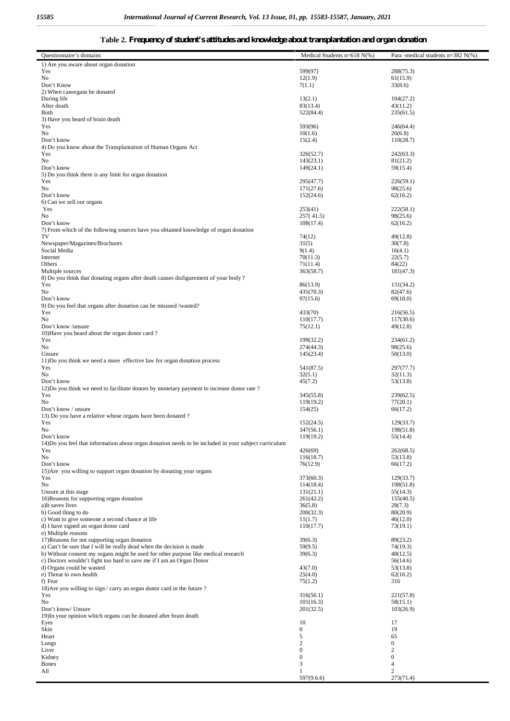#### **Table 2. Frequency of student's attitudes and knowledge about transplantation and organ donation**

| Questionnaire's domains                                                                                                                                    | Medical Students $n=618 N(\%)$ | Para -medical students $n=382$ N(%) |
|------------------------------------------------------------------------------------------------------------------------------------------------------------|--------------------------------|-------------------------------------|
| 1) Are you aware about organ donation                                                                                                                      |                                |                                     |
| Yes                                                                                                                                                        | 599(97)                        | 288(75.3)                           |
| No                                                                                                                                                         | 12(1.9)                        | 61(15.9)                            |
| Don't Know                                                                                                                                                 | 7(1.1)                         | 33(8.6)                             |
| 2) When canorgans be donated                                                                                                                               |                                |                                     |
| During life<br>After death                                                                                                                                 | 13(2.1)<br>83(13.4)            | 104(27.2)<br>43(11.2)               |
| Both                                                                                                                                                       | 522(84.4)                      | 235(61.5)                           |
| 3) Have you heard of brain death                                                                                                                           |                                |                                     |
| Yes                                                                                                                                                        | 593(96)                        | 246(64.4)                           |
| No                                                                                                                                                         | 10(1.6)                        | 26(6.8)                             |
| Don't know                                                                                                                                                 | 15(2.4)                        | 110(28.7)                           |
| 4) Do you know about the Transplantation of Human Organs Act                                                                                               |                                |                                     |
| Yes<br>No                                                                                                                                                  | 326(52.7)<br>143(23.1)         | 242(63.3)<br>81(21.2)               |
| Don't know                                                                                                                                                 | 149(24.1)                      | 59(15.4)                            |
| 5) Do you think there is any limit for organ donation                                                                                                      |                                |                                     |
| Yes                                                                                                                                                        | 295(47.7)                      | 226(59.1)                           |
| No                                                                                                                                                         | 171(27.6)                      | 98(25.6)                            |
| Don't know                                                                                                                                                 | 152(24.6)                      | 62(16.2)                            |
| 6) Can we sell our organs                                                                                                                                  |                                |                                     |
| Yes<br>No                                                                                                                                                  | 253(41)<br>257(41.5)           | 222(58.1)<br>98(25.6)               |
| Don't know                                                                                                                                                 | 108(17.4)                      | 62(16.2)                            |
| 7) From which of the following sources have you obtained knowledge of organ donation                                                                       |                                |                                     |
| TV                                                                                                                                                         | 74(12)                         | 49(12.8)                            |
| Newspaper/Magazines/Brochures                                                                                                                              | 31(5)                          | 30(7.8)                             |
| Social Media                                                                                                                                               | 9(1.4)                         | 16(4.1)                             |
| Internet                                                                                                                                                   | 70(11.3)                       | 22(5.7)                             |
| Others                                                                                                                                                     | 71(11.4)                       | 84(22)                              |
| Multiple sources<br>8) Do you think that donating organs after death causes disfigurement of your body?                                                    | 363(58.7)                      | 181(47.3)                           |
| Yes                                                                                                                                                        | 86(13.9)                       | 131(34.2)                           |
| No                                                                                                                                                         | 435(70.3)                      | 82(47.6)                            |
| Don't know                                                                                                                                                 | 97(15.6)                       | 69(18.0)                            |
| 9) Do you feel that organs after donation can be misused /wasted?                                                                                          |                                |                                     |
| Yes                                                                                                                                                        | 433(70)                        | 216(56.5)                           |
| No                                                                                                                                                         | 110(17.7)                      | 117(30.6)                           |
| Don't know /unsure<br>10) Have you heard about the organ donor card?                                                                                       | 75(12.1)                       | 49(12.8)                            |
| Yes                                                                                                                                                        | 199(32.2)                      | 234(61.2)                           |
| No                                                                                                                                                         | 274(44.3)                      | 98(25.6)                            |
| Unsure                                                                                                                                                     | 145(23.4)                      | 50(13.0)                            |
| 11) Do you think we need a more effective law for organ donation process                                                                                   |                                |                                     |
| Yes                                                                                                                                                        | 541(87.5)                      | 297(77.7)                           |
| No                                                                                                                                                         | 32(5.1)                        | 32(11.3)                            |
| Don't know                                                                                                                                                 | 45(7.2)                        | 53(13.8)                            |
| 12) Do you think we need to facilitate donors by monetary payment to increase donor rate?<br>Yes                                                           | 345(55.8)                      | 239(62.5)                           |
| No                                                                                                                                                         | 119(19.2)                      | 77(20.1)                            |
| Don't know / unsure                                                                                                                                        | 154(25)                        | 66(17.2)                            |
| 13) Do you have a relative whose organs have been donated?                                                                                                 |                                |                                     |
| Yes                                                                                                                                                        | 152(24.5)                      | 129(33.7)                           |
| No.                                                                                                                                                        | 347(56.1)                      | 198(51.8)                           |
| Don't know<br>14) Do you feel that information about organ donation needs to be included in your subject curriculum                                        | 119(19.2)                      | 55(14.4)                            |
| Yes                                                                                                                                                        | 426(69)                        | 262(68.5)                           |
| No                                                                                                                                                         | 116(18.7)                      | 53(13.8)                            |
| Don't know                                                                                                                                                 | 76(12.9)                       | 66(17.2)                            |
| 15) Are you willing to support organ donation by donating your organs                                                                                      |                                |                                     |
| Yes                                                                                                                                                        | 373(60.3)                      | 129(33.7)                           |
| No                                                                                                                                                         | 114(18.4)                      | 198(51.8)                           |
| Unsure at this stage                                                                                                                                       | 131(21.1)                      | 55(14.3)                            |
| 16) Reasons for supporting organ donation<br>a)It saves lives                                                                                              | 261(42.2)<br>36(5.8)           | 155(40.5)<br>28(7.3)                |
| b) Good thing to do                                                                                                                                        | 200(32.3)                      | 80(20.9)                            |
| c) Want to give someone a second chance at life                                                                                                            | 11(1.7)                        | 46(12.0)                            |
| d) I have signed an organ donor card                                                                                                                       | 110(17.7)                      | 73(19.1)                            |
| e) Multiple reasons                                                                                                                                        |                                |                                     |
| 17) Reasons for not supporting organ donation                                                                                                              | 39(6.3)                        | 89(23.2)                            |
| a) Can't be sure that I will be really dead when the decision is made                                                                                      | 59(9.5)                        | 74(19.3)                            |
| b) Without consent my organs might be used for other purpose like medical research<br>c) Doctors wouldn't fight too hard to save me if I am an Organ Donor | 39(6.3)                        | 48(12.5)<br>56(14.6)                |
| d) Organs could be wasted                                                                                                                                  | 43(7.0)                        | 53(13.8)                            |
| e) Threat to own health                                                                                                                                    | 25(4.0)                        | 62(16.2)                            |
| f) Fear                                                                                                                                                    | 75(1.2)                        | 316                                 |
| 18) Are you willing to sign / carry an organ donor card in the future?                                                                                     |                                |                                     |
| Yes                                                                                                                                                        | 316(56.1)                      | 221(57.8)                           |
| No                                                                                                                                                         | 101(16.3)                      | 58(15.1)                            |
| Don't know/ Unsure                                                                                                                                         | 201(32.5)                      | 103(26.9)                           |
| 19) In your opinion which organs can be donated after brain death<br>Eyes                                                                                  | 10                             | 17                                  |
| Skin                                                                                                                                                       | $\mathbf{0}$                   | 19                                  |
| Heart                                                                                                                                                      | 5                              | 65                                  |
| Lungs                                                                                                                                                      | $\sqrt{2}$                     | $\boldsymbol{0}$                    |
| Liver                                                                                                                                                      | $\boldsymbol{0}$               | $\boldsymbol{2}$                    |
| Kidney                                                                                                                                                     | $\boldsymbol{0}$               | $\boldsymbol{0}$                    |
| <b>Bones</b>                                                                                                                                               | $\mathfrak{Z}$                 | $\overline{4}$                      |
| All                                                                                                                                                        | 1<br>597(9.6.6)                | $\overline{c}$<br>273(71.4)         |
|                                                                                                                                                            |                                |                                     |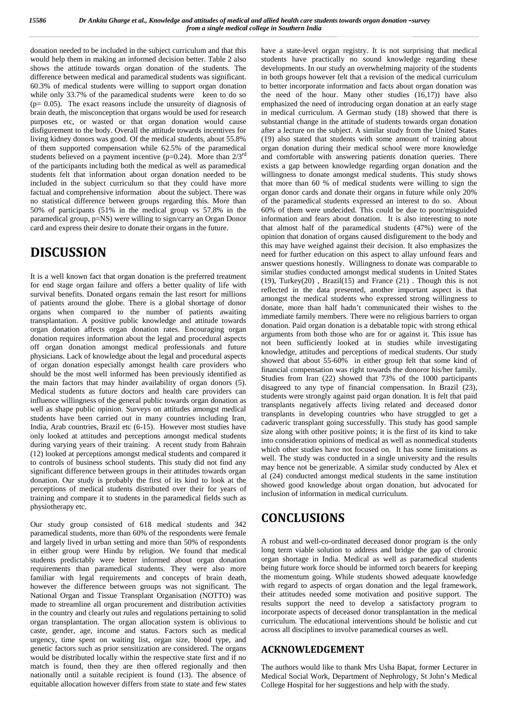donation needed to be included in the subject curriculum and that this would help them in making an informed decision better. Table 2 also shows the attitude towards organ donation of the students. The difference between medical and paramedical students was significant. 60.3% of medical students were willing to support organ donation while only 33.7% of the paramedical students were keen to do so  $(p= 0.05)$ . The exact reasons include the unsureity of diagnosis of brain death, the misconception that organs would be used for research purposes etc, or wasted or that organ donation would cause disfigurement to the body. Overall the attitude towards incentives for living kidney donors was good. Of the medical students, about 55.8% of them supported compensation while 62.5% of the paramedical students believed on a payment incentive ( $p=0.24$ ). More than  $2/3^{rd}$ of the participants including both the medical as well as paramedical students felt that information about organ donation needed to be included in the subject curriculum so that they could have more factual and comprehensive information about the subject. There was no statistical difference between groups regarding this. More than 50% of participants (51% in the medical group vs 57.8% in the paramedical group, p=NS) were willing to sign/carry an Organ Donor card and express their desire to donate their organs in the future.

# **DISCUSSION**

It is a well known fact that organ donation is the preferred treatment for end stage organ failure and offers a better quality of life with survival benefits. Donated organs remain the last resort for millions of patients around the globe. There is a global shortage of donor organs when compared to the number of patients awaiting transplantation. A positive public knowledge and attitude towards organ donation affects organ donation rates. Encouraging organ donation requires information about the legal and procedural aspects off organ donation amongst medical professionals and future physicians. Lack of knowledge about the legal and procedural aspects of organ donation especially amongst health care providers who should be the most well informed has been previously identified as the main factors that may hinder availability of organ donors (5). Medical students as future doctors and health care providers can influence willingness of the general public towards organ donation as well as shape public opinion. Surveys on attitudes amongst medical students have been carried out in many countries including Iran, India, Arab countries, Brazil etc (6-15). However most studies have only looked at attitudes and perceptions amongst medical students during varying years of their training. A recent study from Bahrain (12) looked at perceptions amongst medical students and compared it to controls of business school students. This study did not find any significant difference between groups in their attitudes towards organ donation. Our study is probably the first of its kind to look at the perceptions of medical students distributed over their for years of training and compare it to students in the paramedical fields such as physiotherapy etc.

Our study group consisted of 618 medical students and 342 paramedical students, more than 60% of the respondents were female and largely lived in urban setting and more than 50% of respondents in either group were Hindu by religion. We found that medical students predictably were better informed about organ donation requirements than paramedical students. They were also more familiar with legal requirements and concepts of brain death, however the difference between groups was not significant. The National Organ and Tissue Transplant Organisation (NOTTO) was made to streamline all organ procurement and distribution activities in the country and clearly out rules and regulations pertaining to solid organ transplantation. The organ allocation system is oblivious to caste, gender, age, income and status. Factors such as medical urgency, time spent on waiting list, organ size, blood type, and genetic factors such as prior sensitization are considered. The organs would be distributed locally within the respective state first and if no match is found, then they are then offered regionally and then nationally until a suitable recipient is found (13). The absence of equitable allocation however differs from state to state and few states

have a state-level organ registry. It is not surprising that medical students have practically no sound knowledge regarding these developments. In our study an overwhelming majority of the students in both groups however felt that a revision of the medical curriculum to better incorporate information and facts about organ donation was the need of the hour. Many other studies  $(16,17)$  have also emphasized the need of introducing organ donation at an early stage in medical curriculum. A German study (18) showed that there is substantial change in the attitude of students towards organ donation after a lecture on the subject. A similar study from the United States (19) also stated that students with some amount of training about organ donation during their medical school were more knowledge and comfortable with answering patients donation queries. There exists a gap between knowledge regarding organ donation and the willingness to donate amongst medical students. This study shows that more than 60 % of medical students were willing to sign the organ donor cards and donate their organs in future while only 20% of the paramedical students expressed an interest to do so. About 60% of them were undecided. This could be due to poor/misguided information and fears about donation. It is also interesting to note that almost half of the paramedical students (47%) were of the opinion that donation of organs caused disfigurement to the body and this may have weighed against their decision. It also emphasizes the need for further education on this aspect to allay unfound fears and answer questions honestly. Willingness to donate was comparable to similar studies conducted amongst medical students in United States (19), Turkey(20) , Brazil(15) and France (21) . Though this is not reflected in the data presented, another important aspect is that amongst the medical students who expressed strong willingness to donate, more than half hadn't communicated their wishes to the immediate family members. There were no religious barriers to organ donation. Paid organ donation is a debatable topic with strong ethical arguments from both those who are for or against it. This issue has not been sufficiently looked at in studies while investigating knowledge, attitudes and perceptions of medical students. Our study showed that about 55-60% in either group felt that some kind of financial compensation was right towards the donoror his/her family. Studies from Iran (22) showed that 73% of the 1000 participants disagreed to any type of financial compensation. In Brazil (23), students were strongly against paid organ donation. It is felt that paid transplants negatively affects living related and deceased donor transplants in developing countries who have struggled to get a cadaveric transplant going successfully. This study has good sample size along with other positive points; it is the first of its kind to take into consideration opinions of medical as well as nonmedical students which other studies have not focused on. It has some limitations as well. The study was conducted in a single university and the results may hence not be generizable. A similar study conducted by Alex et al (24) conducted amongst medical students in the same institution showed good knowledge about organ donation, but advocated for inclusion of information in medical curriculum.

### **CONCLUSIONS**

A robust and well-co-ordinated deceased donor program is the only long term viable solution to address and bridge the gap of chronic organ shortage in India. Medical as well as paramedical students being future work force should be informed torch bearers for keeping the momentum going. While students showed adequate knowledge with regard to aspects of organ donation and the legal framework, their attitudes needed some motivation and positive support. The results support the need to develop a satisfactory program to incorporate aspects of deceased donor transplantation in the medical curriculum. The educational interventions should be holistic and cut across all disciplines to involve paramedical courses as well.

#### **ACKNOWLEDGEMENT**

The authors would like to thank Mrs Usha Bapat, former Lecturer in Medical Social Work, Department of Nephrology, St John's Medical College Hospital for her suggestions and help with the study.